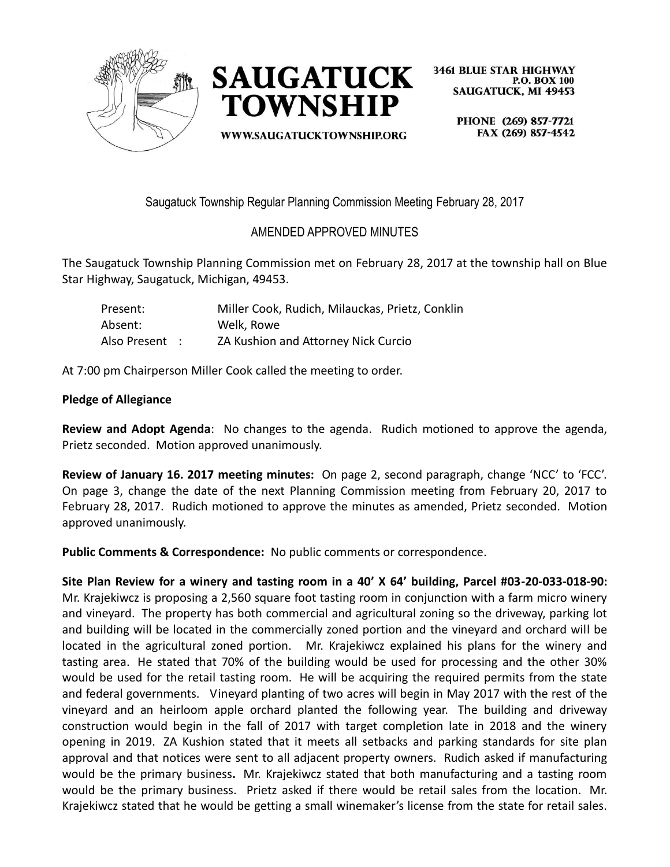



**WWW.SAUGATUCKTOWNSHIP.ORG** 

**3461 BLUE STAR HIGHWAY P.O. BOX 100 SAUGATUCK, MI 49453** 

> PHONE (269) 857-7721 FAX (269) 857-4542

Saugatuck Township Regular Planning Commission Meeting February 28, 2017

# AMENDED APPROVED MINUTES

The Saugatuck Township Planning Commission met on February 28, 2017 at the township hall on Blue Star Highway, Saugatuck, Michigan, 49453.

| Present:       | Miller Cook, Rudich, Milauckas, Prietz, Conklin |
|----------------|-------------------------------------------------|
| Absent:        | Welk, Rowe                                      |
| Also Present : | ZA Kushion and Attorney Nick Curcio             |

At 7:00 pm Chairperson Miller Cook called the meeting to order.

# **Pledge of Allegiance**

**Review and Adopt Agenda**: No changes to the agenda. Rudich motioned to approve the agenda, Prietz seconded. Motion approved unanimously.

**Review of January 16. 2017 meeting minutes:** On page 2, second paragraph, change 'NCC' to 'FCC'. On page 3, change the date of the next Planning Commission meeting from February 20, 2017 to February 28, 2017. Rudich motioned to approve the minutes as amended, Prietz seconded. Motion approved unanimously.

**Public Comments & Correspondence:** No public comments or correspondence.

**Site Plan Review for a winery and tasting room in a 40' X 64' building, Parcel #03-20-033-018-90:**  Mr. Krajekiwcz is proposing a 2,560 square foot tasting room in conjunction with a farm micro winery and vineyard. The property has both commercial and agricultural zoning so the driveway, parking lot and building will be located in the commercially zoned portion and the vineyard and orchard will be located in the agricultural zoned portion. Mr. Krajekiwcz explained his plans for the winery and tasting area. He stated that 70% of the building would be used for processing and the other 30% would be used for the retail tasting room. He will be acquiring the required permits from the state and federal governments. Vineyard planting of two acres will begin in May 2017 with the rest of the vineyard and an heirloom apple orchard planted the following year. The building and driveway construction would begin in the fall of 2017 with target completion late in 2018 and the winery opening in 2019. ZA Kushion stated that it meets all setbacks and parking standards for site plan approval and that notices were sent to all adjacent property owners. Rudich asked if manufacturing would be the primary business**.** Mr. Krajekiwcz stated that both manufacturing and a tasting room would be the primary business.Prietz asked if there would be retail sales from the location. Mr. Krajekiwcz stated that he would be getting a small winemaker's license from the state for retail sales.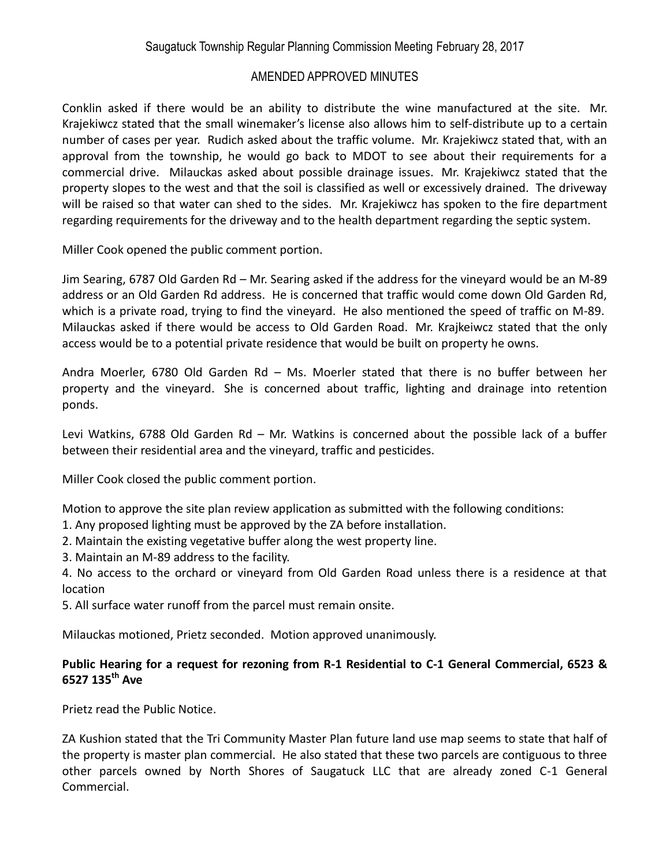Conklin asked if there would be an ability to distribute the wine manufactured at the site. Mr. Krajekiwcz stated that the small winemaker's license also allows him to self-distribute up to a certain number of cases per year. Rudich asked about the traffic volume. Mr. Krajekiwcz stated that, with an approval from the township, he would go back to MDOT to see about their requirements for a commercial drive. Milauckas asked about possible drainage issues. Mr. Krajekiwcz stated that the property slopes to the west and that the soil is classified as well or excessively drained. The driveway will be raised so that water can shed to the sides. Mr. Krajekiwcz has spoken to the fire department regarding requirements for the driveway and to the health department regarding the septic system.

Miller Cook opened the public comment portion.

Jim Searing, 6787 Old Garden Rd – Mr. Searing asked if the address for the vineyard would be an M-89 address or an Old Garden Rd address. He is concerned that traffic would come down Old Garden Rd, which is a private road, trying to find the vineyard. He also mentioned the speed of traffic on M-89. Milauckas asked if there would be access to Old Garden Road. Mr. Krajkeiwcz stated that the only access would be to a potential private residence that would be built on property he owns.

Andra Moerler, 6780 Old Garden Rd – Ms. Moerler stated that there is no buffer between her property and the vineyard. She is concerned about traffic, lighting and drainage into retention ponds.

Levi Watkins, 6788 Old Garden Rd – Mr. Watkins is concerned about the possible lack of a buffer between their residential area and the vineyard, traffic and pesticides.

Miller Cook closed the public comment portion.

Motion to approve the site plan review application as submitted with the following conditions:

- 1. Any proposed lighting must be approved by the ZA before installation.
- 2. Maintain the existing vegetative buffer along the west property line.
- 3. Maintain an M-89 address to the facility.

4. No access to the orchard or vineyard from Old Garden Road unless there is a residence at that location

5. All surface water runoff from the parcel must remain onsite.

Milauckas motioned, Prietz seconded. Motion approved unanimously.

### **Public Hearing for a request for rezoning from R-1 Residential to C-1 General Commercial, 6523 & 6527 135th Ave**

Prietz read the Public Notice.

ZA Kushion stated that the Tri Community Master Plan future land use map seems to state that half of the property is master plan commercial. He also stated that these two parcels are contiguous to three other parcels owned by North Shores of Saugatuck LLC that are already zoned C-1 General Commercial.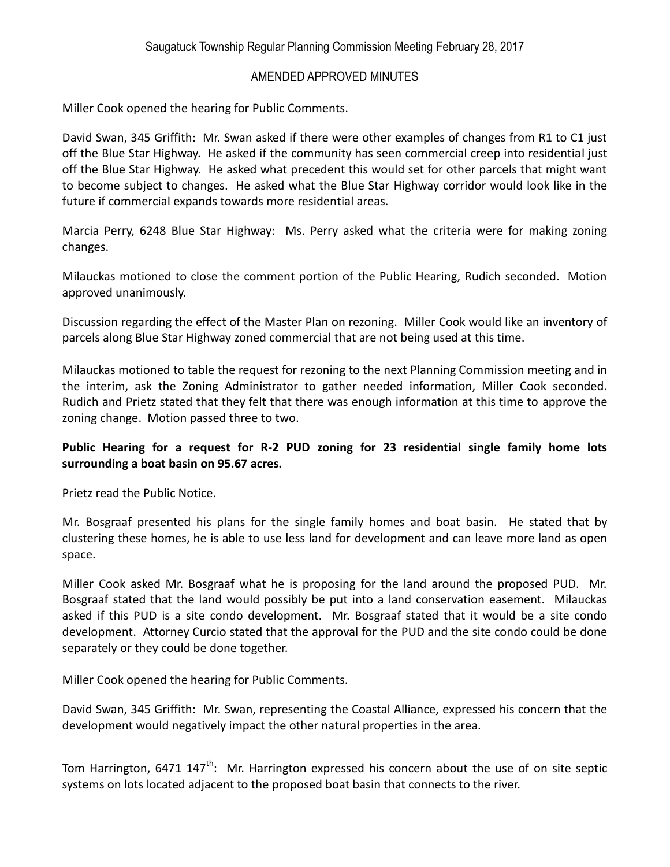Miller Cook opened the hearing for Public Comments.

David Swan, 345 Griffith: Mr. Swan asked if there were other examples of changes from R1 to C1 just off the Blue Star Highway. He asked if the community has seen commercial creep into residential just off the Blue Star Highway. He asked what precedent this would set for other parcels that might want to become subject to changes. He asked what the Blue Star Highway corridor would look like in the future if commercial expands towards more residential areas.

Marcia Perry, 6248 Blue Star Highway: Ms. Perry asked what the criteria were for making zoning changes.

Milauckas motioned to close the comment portion of the Public Hearing, Rudich seconded. Motion approved unanimously.

Discussion regarding the effect of the Master Plan on rezoning. Miller Cook would like an inventory of parcels along Blue Star Highway zoned commercial that are not being used at this time.

Milauckas motioned to table the request for rezoning to the next Planning Commission meeting and in the interim, ask the Zoning Administrator to gather needed information, Miller Cook seconded. Rudich and Prietz stated that they felt that there was enough information at this time to approve the zoning change. Motion passed three to two.

# **Public Hearing for a request for R-2 PUD zoning for 23 residential single family home lots surrounding a boat basin on 95.67 acres.**

Prietz read the Public Notice.

Mr. Bosgraaf presented his plans for the single family homes and boat basin. He stated that by clustering these homes, he is able to use less land for development and can leave more land as open space.

Miller Cook asked Mr. Bosgraaf what he is proposing for the land around the proposed PUD. Mr. Bosgraaf stated that the land would possibly be put into a land conservation easement. Milauckas asked if this PUD is a site condo development. Mr. Bosgraaf stated that it would be a site condo development. Attorney Curcio stated that the approval for the PUD and the site condo could be done separately or they could be done together.

Miller Cook opened the hearing for Public Comments.

David Swan, 345 Griffith: Mr. Swan, representing the Coastal Alliance, expressed his concern that the development would negatively impact the other natural properties in the area.

Tom Harrington, 6471 147<sup>th</sup>: Mr. Harrington expressed his concern about the use of on site septic systems on lots located adjacent to the proposed boat basin that connects to the river.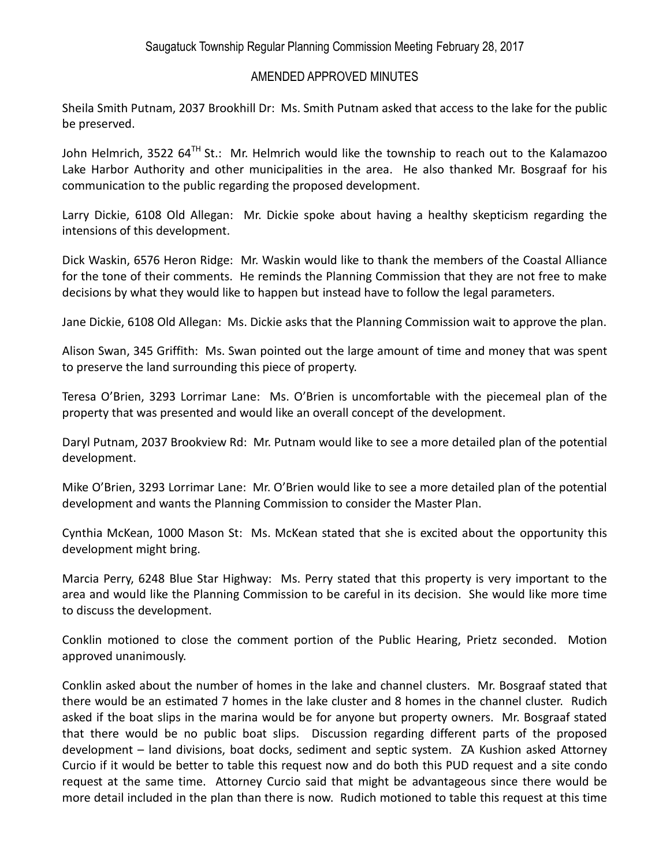Sheila Smith Putnam, 2037 Brookhill Dr: Ms. Smith Putnam asked that access to the lake for the public be preserved.

John Helmrich, 3522 64 $^{TH}$  St.: Mr. Helmrich would like the township to reach out to the Kalamazoo Lake Harbor Authority and other municipalities in the area. He also thanked Mr. Bosgraaf for his communication to the public regarding the proposed development.

Larry Dickie, 6108 Old Allegan: Mr. Dickie spoke about having a healthy skepticism regarding the intensions of this development.

Dick Waskin, 6576 Heron Ridge: Mr. Waskin would like to thank the members of the Coastal Alliance for the tone of their comments. He reminds the Planning Commission that they are not free to make decisions by what they would like to happen but instead have to follow the legal parameters.

Jane Dickie, 6108 Old Allegan: Ms. Dickie asks that the Planning Commission wait to approve the plan.

Alison Swan, 345 Griffith: Ms. Swan pointed out the large amount of time and money that was spent to preserve the land surrounding this piece of property.

Teresa O'Brien, 3293 Lorrimar Lane: Ms. O'Brien is uncomfortable with the piecemeal plan of the property that was presented and would like an overall concept of the development.

Daryl Putnam, 2037 Brookview Rd: Mr. Putnam would like to see a more detailed plan of the potential development.

Mike O'Brien, 3293 Lorrimar Lane: Mr. O'Brien would like to see a more detailed plan of the potential development and wants the Planning Commission to consider the Master Plan.

Cynthia McKean, 1000 Mason St: Ms. McKean stated that she is excited about the opportunity this development might bring.

Marcia Perry, 6248 Blue Star Highway: Ms. Perry stated that this property is very important to the area and would like the Planning Commission to be careful in its decision. She would like more time to discuss the development.

Conklin motioned to close the comment portion of the Public Hearing, Prietz seconded. Motion approved unanimously.

Conklin asked about the number of homes in the lake and channel clusters. Mr. Bosgraaf stated that there would be an estimated 7 homes in the lake cluster and 8 homes in the channel cluster. Rudich asked if the boat slips in the marina would be for anyone but property owners. Mr. Bosgraaf stated that there would be no public boat slips. Discussion regarding different parts of the proposed development – land divisions, boat docks, sediment and septic system. ZA Kushion asked Attorney Curcio if it would be better to table this request now and do both this PUD request and a site condo request at the same time. Attorney Curcio said that might be advantageous since there would be more detail included in the plan than there is now. Rudich motioned to table this request at this time